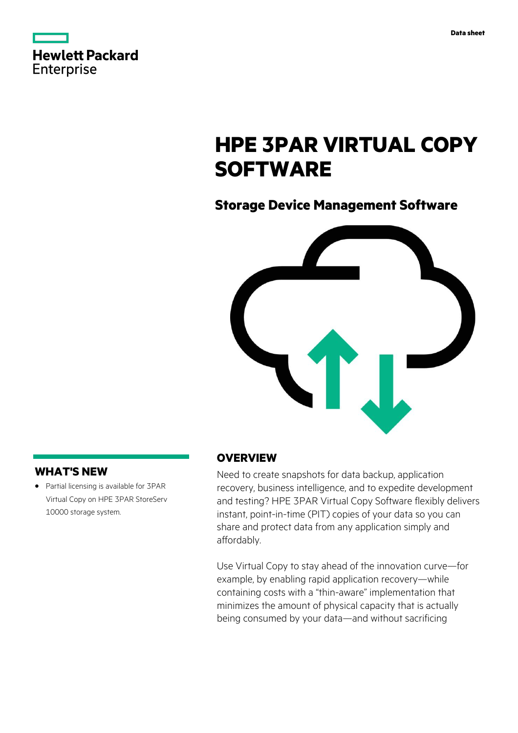|                   | <b>Hewlett Packard</b> |  |
|-------------------|------------------------|--|
| <b>Enterprise</b> |                        |  |

# **HPE 3PAR VIRTUAL COPY SOFTWARE**

## **Storage Device Management Software**



### **WHAT'S NEW**

**·** Partial licensing is available for 3PAR Virtual Copy on HPE 3PAR StoreServ 10000 storage system.

#### **OVERVIEW**

Need to create snapshots for data backup, application recovery, business intelligence, and to expedite development and testing? HPE 3PAR Virtual Copy Software flexibly delivers instant, point-in-time (PIT) copies of your data so you can share and protect data from any application simply and affordably.

Use Virtual Copy to stay ahead of the innovation curve—for example, by enabling rapid application recovery—while containing costs with a "thin-aware" implementation that minimizes the amount of physical capacity that is actually being consumed by your data—and without sacrificing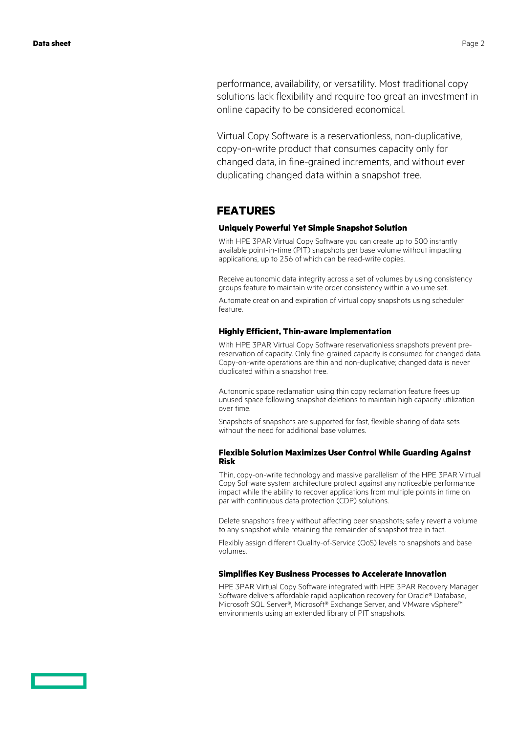performance, availability, or versatility. Most traditional copy solutions lack flexibility and require too great an investment in online capacity to be considered economical.

Virtual Copy Software is a reservationless, non-duplicative, copy-on-write product that consumes capacity only for changed data, in fine-grained increments, and without ever duplicating changed data within a snapshot tree.

### **FEATURES**

#### **Uniquely Powerful Yet Simple Snapshot Solution**

With HPE 3PAR Virtual Copy Software you can create up to 500 instantly available point-in-time (PIT) snapshots per base volume without impacting applications, up to 256 of which can be read-write copies.

Receive autonomic data integrity across a set of volumes by using consistency groups feature to maintain write order consistency within a volume set.

Automate creation and expiration of virtual copy snapshots using scheduler feature.

#### **Highly Efficient, Thin-aware Implementation**

With HPE 3PAR Virtual Copy Software reservationless snapshots prevent prereservation of capacity. Only fine-grained capacity is consumed for changed data. Copy-on-write operations are thin and non-duplicative; changed data is never duplicated within a snapshot tree.

Autonomic space reclamation using thin copy reclamation feature frees up unused space following snapshot deletions to maintain high capacity utilization over time.

Snapshots of snapshots are supported for fast, flexible sharing of data sets without the need for additional base volumes.

#### **Flexible Solution Maximizes User Control While Guarding Against Risk**

Thin, copy-on-write technology and massive parallelism of the HPE 3PAR Virtual Copy Software system architecture protect against any noticeable performance impact while the ability to recover applications from multiple points in time on par with continuous data protection (CDP) solutions.

Delete snapshots freely without affecting peer snapshots; safely revert a volume to any snapshot while retaining the remainder of snapshot tree in tact.

Flexibly assign different Quality-of-Service (QoS) levels to snapshots and base volumes.

#### **Simplifies Key Business Processes to Accelerate Innovation**

HPE 3PAR Virtual Copy Software integrated with HPE 3PAR Recovery Manager Software delivers affordable rapid application recovery for Oracle® Database, Microsoft SQL Server®, Microsoft® Exchange Server, and VMware vSphere™ environments using an extended library of PIT snapshots.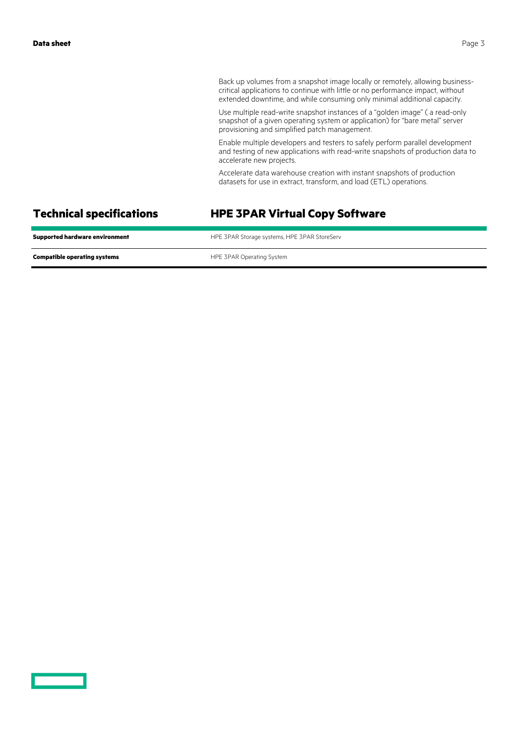Back up volumes from a snapshot image locally or remotely, allowing businesscritical applications to continue with little or no performance impact, without extended downtime, and while consuming only minimal additional capacity.

Use multiple read-write snapshot instances of a "golden image" ( a read-only snapshot of a given operating system or application) for "bare metal" server provisioning and simplified patch management.

Enable multiple developers and testers to safely perform parallel development and testing of new applications with read-write snapshots of production data to accelerate new projects.

Accelerate data warehouse creation with instant snapshots of production datasets for use in extract, transform, and load (ETL) operations.

### **Technical specifications HPE 3PAR Virtual Copy Software**

| <b>Supported hardware environment</b> | HPE 3PAR Storage systems, HPE 3PAR StoreServ |
|---------------------------------------|----------------------------------------------|
| <b>Compatible operating systems</b>   | HPE 3PAR Operating System                    |